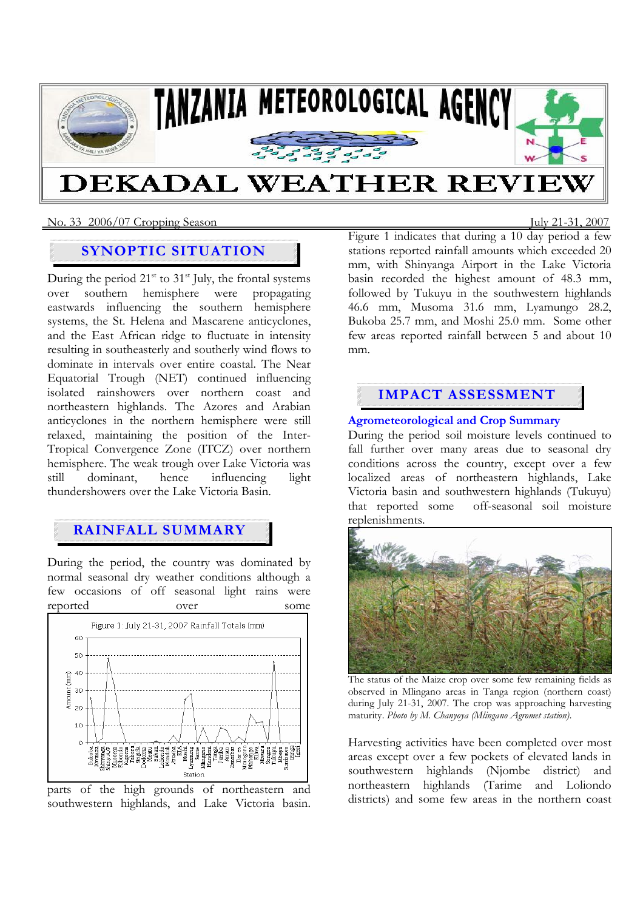

## No. 33 2006/07 Cropping SeasonJuly 21-31, 2007

# **SYNOPTIC SITUATION**

During the period  $21^{st}$  to  $31^{st}$  July, the frontal systems over southern hemisphere were propagating eastwards influencing the southern hemisphere systems, the St. Helena and Mascarene anticyclones, and the East African ridge to fluctuate in intensity resulting in southeasterly and southerly wind flows to dominate in intervals over entire coastal. The Near Equatorial Trough (NET) continued influencing isolated rainshowers over northern coast and northeastern highlands. The Azores and Arabian anticyclones in the northern hemisphere were still relaxed, maintaining the position of the Inter-Tropical Convergence Zone (ITCZ) over northern hemisphere. The weak trough over Lake Victoria was still dominant, hence influencing light thundershowers over the Lake Victoria Basin.

# **RAINFALL SUMMARY**

During the period, the country was dominated by normal seasonal dry weather conditions although a few occasions of off seasonal light rains were reported over some



parts of the high grounds of northeastern and southwestern highlands, and Lake Victoria basin.

Figure 1 indicates that during a 10 day period a few stations reported rainfall amounts which exceeded 20 mm, with Shinyanga Airport in the Lake Victoria basin recorded the highest amount of 48.3 mm, followed by Tukuyu in the southwestern highlands 46.6 mm, Musoma 31.6 mm, Lyamungo 28.2, Bukoba 25.7 mm, and Moshi 25.0 mm. Some other few areas reported rainfall between 5 and about 10 mm.

# **IMPACT ASSESSMENT**

## **Agrometeorological and Crop Summary**

During the period soil moisture levels continued to fall further over many areas due to seasonal dry conditions across the country, except over a few localized areas of northeastern highlands, Lake Victoria basin and southwestern highlands (Tukuyu) that reported some off-seasonal soil moisture replenishments.



The status of the Maize crop over some few remaining fields as observed in Mlingano areas in Tanga region (northern coast) during July 21-31, 2007. The crop was approaching harvesting maturity. *Photo by M. Chanyoya (Mlingano Agromet station).* 

Harvesting activities have been completed over most areas except over a few pockets of elevated lands in southwestern highlands (Njombe district) and northeastern highlands (Tarime and Loliondo districts) and some few areas in the northern coast